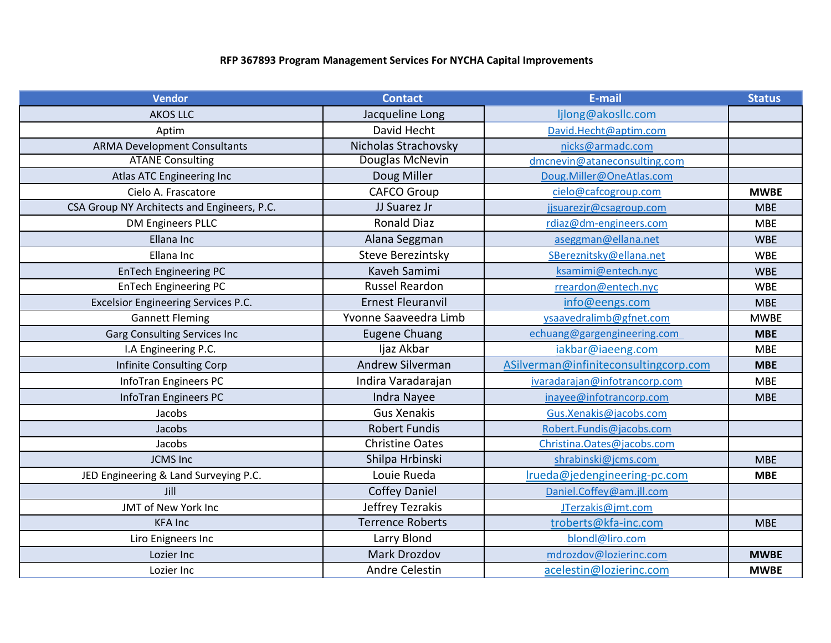## **RFP 367893 Program Management Services For NYCHA Capital Improvements**

| <b>Vendor</b>                               | <b>Contact</b>           | E-mail                                | <b>Status</b> |
|---------------------------------------------|--------------------------|---------------------------------------|---------------|
| <b>AKOS LLC</b>                             | Jacqueline Long          | ljlong@akosllc.com                    |               |
| Aptim                                       | David Hecht              | David.Hecht@aptim.com                 |               |
| <b>ARMA Development Consultants</b>         | Nicholas Strachovsky     | nicks@armadc.com                      |               |
| <b>ATANE Consulting</b>                     | Douglas McNevin          | dmcnevin@ataneconsulting.com          |               |
| Atlas ATC Engineering Inc                   | Doug Miller              | Doug.Miller@OneAtlas.com              |               |
| Cielo A. Frascatore                         | <b>CAFCO Group</b>       | cielo@cafcogroup.com                  | <b>MWBE</b>   |
| CSA Group NY Architects and Engineers, P.C. | JJ Suarez Jr             | jjsuarezjr@csagroup.com               | <b>MBE</b>    |
| <b>DM Engineers PLLC</b>                    | <b>Ronald Diaz</b>       | rdiaz@dm-engineers.com                | <b>MBE</b>    |
| Ellana Inc                                  | Alana Seggman            | aseggman@ellana.net                   | <b>WBE</b>    |
| Ellana Inc                                  | <b>Steve Berezintsky</b> | SBereznitsky@ellana.net               | <b>WBE</b>    |
| <b>EnTech Engineering PC</b>                | Kaveh Samimi             | ksamimi@entech.nyc                    | <b>WBE</b>    |
| <b>EnTech Engineering PC</b>                | <b>Russel Reardon</b>    | rreardon@entech.nyc                   | <b>WBE</b>    |
| <b>Excelsior Engineering Services P.C.</b>  | <b>Ernest Fleuranvil</b> | info@eengs.com                        | <b>MBE</b>    |
| <b>Gannett Fleming</b>                      | Yvonne Saaveedra Limb    | ysaavedralimb@gfnet.com               | <b>MWBE</b>   |
| <b>Garg Consulting Services Inc</b>         | <b>Eugene Chuang</b>     | echuang@gargengineering.com           | <b>MBE</b>    |
| I.A Engineering P.C.                        | Ijaz Akbar               | iakbar@iaeeng.com                     | <b>MBE</b>    |
| Infinite Consulting Corp                    | <b>Andrew Silverman</b>  | ASilverman@infiniteconsultingcorp.com | <b>MBE</b>    |
| InfoTran Engineers PC                       | Indira Varadarajan       | ivaradarajan@infotrancorp.com         | <b>MBE</b>    |
| InfoTran Engineers PC                       | <b>Indra Nayee</b>       | inayee@infotrancorp.com               | <b>MBE</b>    |
| Jacobs                                      | <b>Gus Xenakis</b>       | Gus.Xenakis@jacobs.com                |               |
| Jacobs                                      | <b>Robert Fundis</b>     | Robert.Fundis@jacobs.com              |               |
| Jacobs                                      | <b>Christine Oates</b>   | Christina.Oates@jacobs.com            |               |
| <b>JCMS Inc</b>                             | Shilpa Hrbinski          | shrabinski@jcms.com                   | <b>MBE</b>    |
| JED Engineering & Land Surveying P.C.       | Louie Rueda              | Irueda@jedengineering-pc.com          | <b>MBE</b>    |
| Jill                                        | <b>Coffey Daniel</b>     | Daniel.Coffey@am.jll.com              |               |
| JMT of New York Inc                         | Jeffrey Tezrakis         | JTerzakis@jmt.com                     |               |
| <b>KFA Inc</b>                              | <b>Terrence Roberts</b>  | troberts@kfa-inc.com                  | <b>MBE</b>    |
| Liro Enigneers Inc                          | Larry Blond              | blondl@liro.com                       |               |
| Lozier Inc                                  | Mark Drozdov             | mdrozdov@lozierinc.com                | <b>MWBE</b>   |
| Lozier Inc                                  | Andre Celestin           | acelestin@lozierinc.com               | <b>MWBE</b>   |